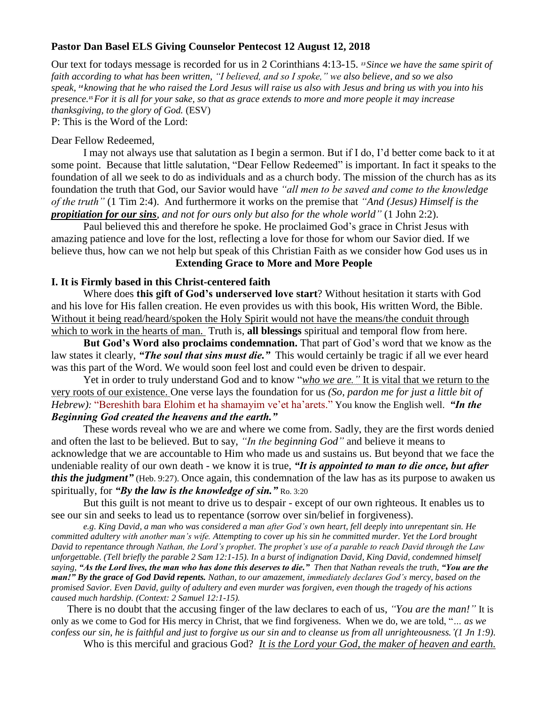## **Pastor Dan Basel ELS Giving Counselor Pentecost 12 August 12, 2018**

Our text for todays message is recorded for us in 2 Corinthians 4:13-15. *<sup>13</sup> Since we have the same spirit of faith according to what has been written, "I believed, and so I spoke," we also believe, and so we also speak, <sup>14</sup> knowing that he who raised the Lord Jesus will raise us also with Jesus and bring us with you into his presence.15For it is all for your sake, so that as grace extends to more and more people it may increase thanksgiving, to the glory of God.* (ESV)

P: This is the Word of the Lord:

#### Dear Fellow Redeemed,

I may not always use that salutation as I begin a sermon. But if I do, I'd better come back to it at some point. Because that little salutation, "Dear Fellow Redeemed" is important. In fact it speaks to the foundation of all we seek to do as individuals and as a church body. The mission of the church has as its foundation the truth that God, our Savior would have *"all men to be saved and come to the knowledge of the truth"* (1 Tim 2:4). And furthermore it works on the premise that *"And (Jesus) Himself is the propitiation for our sins, and not for ours only but also for the whole world"* (1 John 2:2).

Paul believed this and therefore he spoke. He proclaimed God's grace in Christ Jesus with amazing patience and love for the lost, reflecting a love for those for whom our Savior died. If we believe thus, how can we not help but speak of this Christian Faith as we consider how God uses us in

# **Extending Grace to More and More People**

## **I. It is Firmly based in this Christ-centered faith**

Where does **this gift of God's underserved love start**? Without hesitation it starts with God and his love for His fallen creation. He even provides us with this book, His written Word, the Bible. Without it being read/heard/spoken the Holy Spirit would not have the means/the conduit through which to work in the hearts of man. Truth is, **all blessings** spiritual and temporal flow from here.

**But God's Word also proclaims condemnation.** That part of God's word that we know as the law states it clearly, *"The soul that sins must die."* This would certainly be tragic if all we ever heard was this part of the Word. We would soon feel lost and could even be driven to despair.

Yet in order to truly understand God and to know "*who we are."* It is vital that we return to the very roots of our existence. One verse lays the foundation for us *(So, pardon me for just a little bit of Hebrew):* "Bereshith bara Elohim et ha shamayim ve'et ha'arets." You know the English well. *"In the Beginning God created the heavens and the earth."*

These words reveal who we are and where we come from. Sadly, they are the first words denied and often the last to be believed. But to say, *"In the beginning God"* and believe it means to acknowledge that we are accountable to Him who made us and sustains us. But beyond that we face the undeniable reality of our own death - we know it is true, *"It is appointed to man to die once, but after this the judgment*" (Heb. 9:27). Once again, this condemnation of the law has as its purpose to awaken us spiritually, for *"By the law is the knowledge of sin."* Ro. 3:20

But this guilt is not meant to drive us to despair - except of our own righteous. It enables us to see our sin and seeks to lead us to repentance (sorrow over sin/belief in forgiveness).

*e.g. King David, a man who was considered a man after God's own heart, fell deeply into unrepentant sin. He committed adultery with another man's wife. Attempting to cover up his sin he committed murder. Yet the Lord brought David to repentance through Nathan, the Lord's prophet. The prophet's use of a parable to reach David through the Law unforgettable. (Tell briefly the parable 2 Sam 12:1-15). In a burst of indignation David, King David, condemned himself saying, "As the Lord lives, the man who has done this deserves to die." Then that Nathan reveals the truth, "You are the man!" By the grace of God David repents. Nathan, to our amazement, immediately declares God's mercy, based on the promised Savior. Even David, guilty of adultery and even murder was forgiven, even though the tragedy of his actions caused much hardship. (Context: 2 Samuel 12:1-15).*

There is no doubt that the accusing finger of the law declares to each of us, *"You are the man!"* It is only as we come to God for His mercy in Christ, that we find forgiveness. When we do, we are told, "*… as we confess our sin, he is faithful and just to forgive us our sin and to cleanse us from all unrighteousness.'(1 Jn 1:9).*

Who is this merciful and gracious God? *It is the Lord your God, the maker of heaven and earth.*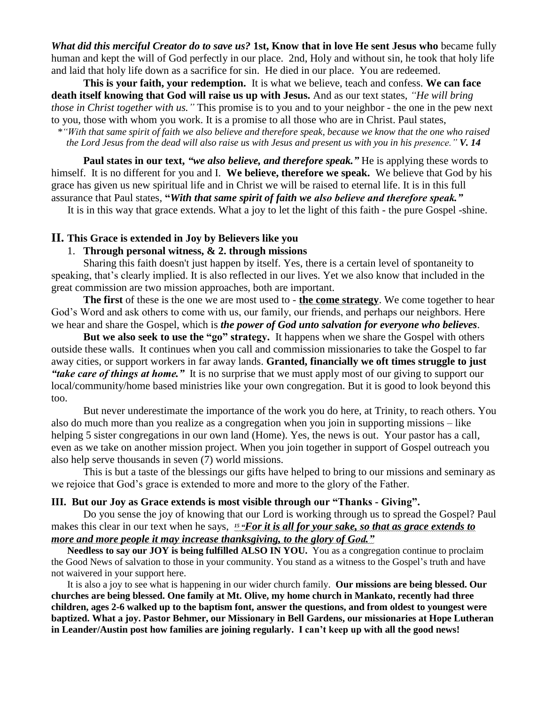*What did this merciful Creator do to save us?* **1st, Know that in love He sent Jesus who** became fully human and kept the will of God perfectly in our place. 2nd, Holy and without sin, he took that holy life and laid that holy life down as a sacrifice for sin. He died in our place. You are redeemed.

**This is your faith, your redemption.** It is what we believe, teach and confess. **We can face death itself knowing that God will raise us up with Jesus.** And as our text states, *"He will bring those in Christ together with us."* This promise is to you and to your neighbor - the one in the pew next to you, those with whom you work. It is a promise to all those who are in Christ. Paul states,

*\*"With that same spirit of faith we also believe and therefore speak, because we know that the one who raised the Lord Jesus from the dead will also raise us with Jesus and present us with you in his presence." V. 14*

**Paul states in our text,** *"we also believe, and therefore speak."* He is applying these words to himself. It is no different for you and I. **We believe, therefore we speak.** We believe that God by his grace has given us new spiritual life and in Christ we will be raised to eternal life. It is in this full assurance that Paul states, **"***With that same spirit of faith we also believe and therefore speak."*

It is in this way that grace extends. What a joy to let the light of this faith - the pure Gospel -shine.

#### **II. This Grace is extended in Joy by Believers like you**

#### 1. **Through personal witness, & 2. through missions**

Sharing this faith doesn't just happen by itself. Yes, there is a certain level of spontaneity to speaking, that's clearly implied. It is also reflected in our lives. Yet we also know that included in the great commission are two mission approaches, both are important.

**The first** of these is the one we are most used to - **the come strategy**. We come together to hear God's Word and ask others to come with us, our family, our friends, and perhaps our neighbors. Here we hear and share the Gospel, which is *the power of God unto salvation for everyone who believes*.

**But we also seek to use the "go" strategy.** It happens when we share the Gospel with others outside these walls. It continues when you call and commission missionaries to take the Gospel to far away cities, or support workers in far away lands. **Granted, financially we oft times struggle to just**  *"take care of things at home."* It is no surprise that we must apply most of our giving to support our local/community/home based ministries like your own congregation. But it is good to look beyond this too.

But never underestimate the importance of the work you do here, at Trinity, to reach others. You also do much more than you realize as a congregation when you join in supporting missions – like helping 5 sister congregations in our own land (Home). Yes, the news is out. Your pastor has a call, even as we take on another mission project. When you join together in support of Gospel outreach you also help serve thousands in seven (7) world missions.

This is but a taste of the blessings our gifts have helped to bring to our missions and seminary as we rejoice that God's grace is extended to more and more to the glory of the Father.

## **III. But our Joy as Grace extends is most visible through our "Thanks - Giving".**

Do you sense the joy of knowing that our Lord is working through us to spread the Gospel? Paul makes this clear in our text when he says, *<sup>15</sup> "For it is all for your sake, so that as grace extends to more and more people it may increase thanksgiving, to the glory of God."*

**Needless to say our JOY is being fulfilled ALSO IN YOU.** You as a congregation continue to proclaim the Good News of salvation to those in your community. You stand as a witness to the Gospel's truth and have not waivered in your support here.

It is also a joy to see what is happening in our wider church family. **Our missions are being blessed. Our churches are being blessed. One family at Mt. Olive, my home church in Mankato, recently had three children, ages 2-6 walked up to the baptism font, answer the questions, and from oldest to youngest were baptized. What a joy. Pastor Behmer, our Missionary in Bell Gardens, our missionaries at Hope Lutheran in Leander/Austin post how families are joining regularly. I can't keep up with all the good news!**